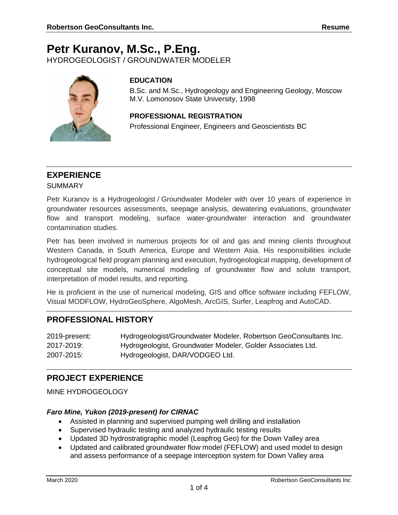# **Petr Kuranov, M.Sc., P.Eng.**

HYDROGEOLOGIST / GROUNDWATER MODELER



# **EDUCATION**

B.Sc. and M.Sc., Hydrogeology and Engineering Geology, Moscow M.V. Lomonosov State University, 1998

## **PROFESSIONAL REGISTRATION**

Professional Engineer, Engineers and Geoscientists BC

# **EXPERIENCE**

#### SUMMARY

Petr Kuranov is a Hydrogeologist / Groundwater Modeler with over 10 years of experience in groundwater resources assessments, seepage analysis, dewatering evaluations, groundwater flow and transport modeling, surface water-groundwater interaction and groundwater contamination studies.

Petr has been involved in numerous projects for oil and gas and mining clients throughout Western Canada, in South America, Europe and Western Asia. His responsibilities include hydrogeological field program planning and execution, hydrogeological mapping, development of conceptual site models, numerical modeling of groundwater flow and solute transport, interpretation of model results, and reporting.

He is proficient in the use of numerical modeling, GIS and office software including FEFLOW, Visual MODFLOW, HydroGeoSphere, AlgoMesh, ArcGIS, Surfer, Leapfrog and AutoCAD.

# **PROFESSIONAL HISTORY**

| 2019-present: | Hydrogeologist/Groundwater Modeler, Robertson GeoConsultants Inc. |
|---------------|-------------------------------------------------------------------|
| 2017-2019:    | Hydrogeologist, Groundwater Modeler, Golder Associates Ltd.       |
| 2007-2015:    | Hydrogeologist, DAR/VODGEO Ltd.                                   |

# **PROJECT EXPERIENCE**

MINE HYDROGEOLOGY

# *Faro Mine, Yukon (2019-present) for CIRNAC*

- Assisted in planning and supervised pumping well drilling and installation
- Supervised hydraulic testing and analyzed hydraulic testing results
- Updated 3D hydrostratigraphic model (Leapfrog Geo) for the Down Valley area
- Updated and calibrated groundwater flow model (FEFLOW) and used model to design and assess performance of a seepage interception system for Down Valley area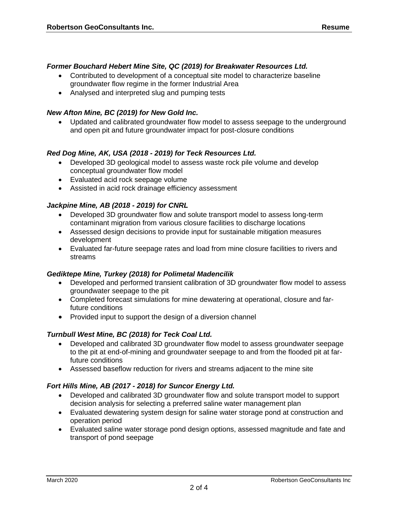#### *Former Bouchard Hebert Mine Site, QC (2019) for Breakwater Resources Ltd.*

- Contributed to development of a conceptual site model to characterize baseline groundwater flow regime in the former Industrial Area
- Analysed and interpreted slug and pumping tests

#### *New Afton Mine, BC (2019) for New Gold Inc.*

• Updated and calibrated groundwater flow model to assess seepage to the underground and open pit and future groundwater impact for post-closure conditions

#### *Red Dog Mine, AK, USA (2018 - 2019) for Teck Resources Ltd.*

- Developed 3D geological model to assess waste rock pile volume and develop conceptual groundwater flow model
- Evaluated acid rock seepage volume
- Assisted in acid rock drainage efficiency assessment

#### *Jackpine Mine, AB (2018 - 2019) for CNRL*

- Developed 3D groundwater flow and solute transport model to assess long-term contaminant migration from various closure facilities to discharge locations
- Assessed design decisions to provide input for sustainable mitigation measures development
- Evaluated far-future seepage rates and load from mine closure facilities to rivers and streams

#### *Gediktepe Mine, Turkey (2018) for Polimetal Madencilik*

- Developed and performed transient calibration of 3D groundwater flow model to assess groundwater seepage to the pit
- Completed forecast simulations for mine dewatering at operational, closure and farfuture conditions
- Provided input to support the design of a diversion channel

#### *Turnbull West Mine, BC (2018) for Teck Coal Ltd.*

- Developed and calibrated 3D groundwater flow model to assess groundwater seepage to the pit at end-of-mining and groundwater seepage to and from the flooded pit at farfuture conditions
- Assessed baseflow reduction for rivers and streams adjacent to the mine site

#### *Fort Hills Mine, AB (2017 - 2018) for Suncor Energy Ltd.*

- Developed and calibrated 3D groundwater flow and solute transport model to support decision analysis for selecting a preferred saline water management plan
- Evaluated dewatering system design for saline water storage pond at construction and operation period
- Evaluated saline water storage pond design options, assessed magnitude and fate and transport of pond seepage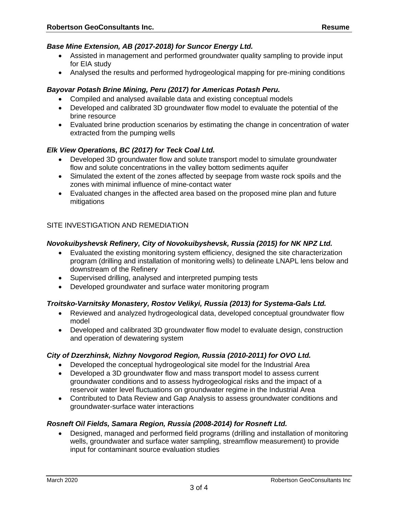#### *Base Mine Extension, AB (2017-2018) for Suncor Energy Ltd.*

- Assisted in management and performed groundwater quality sampling to provide input for EIA study
- Analysed the results and performed hydrogeological mapping for pre-mining conditions

#### *Bayovar Potash Brine Mining, Peru (2017) for Americas Potash Peru.*

- Compiled and analysed available data and existing conceptual models
- Developed and calibrated 3D groundwater flow model to evaluate the potential of the brine resource
- Evaluated brine production scenarios by estimating the change in concentration of water extracted from the pumping wells

#### *Elk View Operations, BC (2017) for Teck Coal Ltd.*

- Developed 3D groundwater flow and solute transport model to simulate groundwater flow and solute concentrations in the valley bottom sediments aquifer
- Simulated the extent of the zones affected by seepage from waste rock spoils and the zones with minimal influence of mine-contact water
- Evaluated changes in the affected area based on the proposed mine plan and future mitigations

#### SITE INVESTIGATION AND REMEDIATION

#### *Novokuibyshevsk Refinery, City of Novokuibyshevsk, Russia (2015) for NK NPZ Ltd.*

- Evaluated the existing monitoring system efficiency, designed the site characterization program (drilling and installation of monitoring wells) to delineate LNAPL lens below and downstream of the Refinery
- Supervised drilling, analysed and interpreted pumping tests
- Developed groundwater and surface water monitoring program

#### *Troitsko-Varnitsky Monastery, Rostov Velikyi, Russia (2013) for Systema-Gals Ltd.*

- Reviewed and analyzed hydrogeological data, developed conceptual groundwater flow model
- Developed and calibrated 3D groundwater flow model to evaluate design, construction and operation of dewatering system

#### *City of Dzerzhinsk, Nizhny Novgorod Region, Russia (2010-2011) for OVO Ltd.*

- Developed the conceptual hydrogeological site model for the Industrial Area
- Developed a 3D groundwater flow and mass transport model to assess current groundwater conditions and to assess hydrogeological risks and the impact of a reservoir water level fluctuations on groundwater regime in the Industrial Area
- Contributed to Data Review and Gap Analysis to assess groundwater conditions and groundwater-surface water interactions

#### *Rosneft Oil Fields, Samara Region, Russia (2008-2014) for Rosneft Ltd.*

• Designed, managed and performed field programs (drilling and installation of monitoring wells, groundwater and surface water sampling, streamflow measurement) to provide input for contaminant source evaluation studies